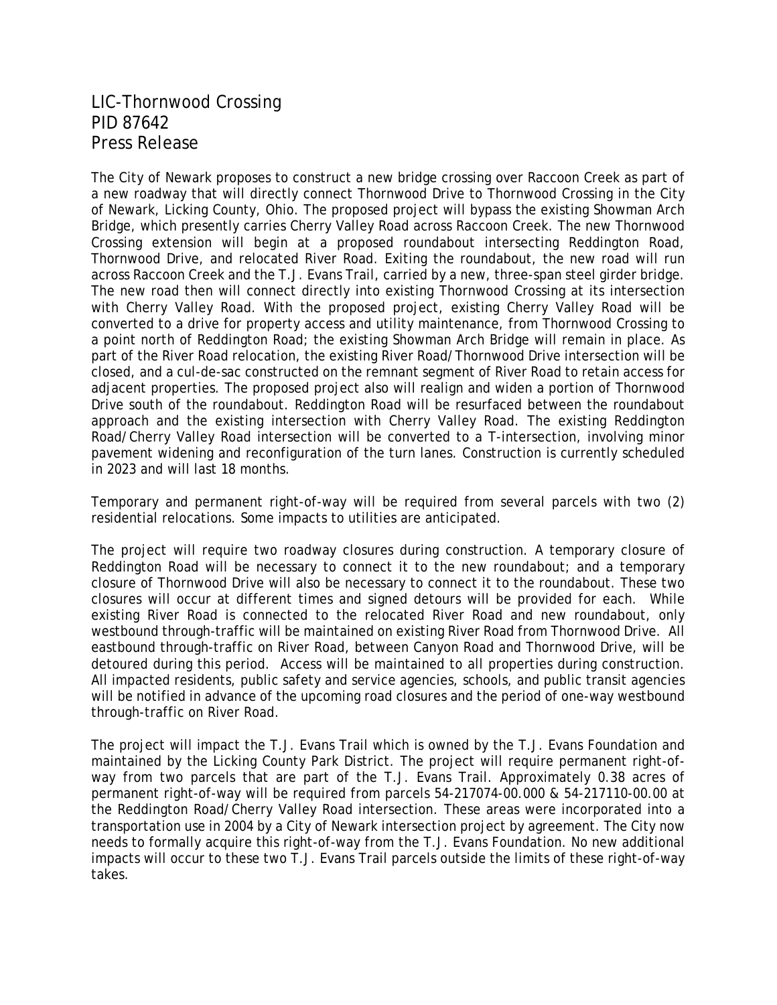## LIC-Thornwood Crossing PID 87642 Press Release

The City of Newark proposes to construct a new bridge crossing over Raccoon Creek as part of a new roadway that will directly connect Thornwood Drive to Thornwood Crossing in the City of Newark, Licking County, Ohio. The proposed project will bypass the existing Showman Arch Bridge, which presently carries Cherry Valley Road across Raccoon Creek. The new Thornwood Crossing extension will begin at a proposed roundabout intersecting Reddington Road, Thornwood Drive, and relocated River Road. Exiting the roundabout, the new road will run across Raccoon Creek and the T.J. Evans Trail, carried by a new, three-span steel girder bridge. The new road then will connect directly into existing Thornwood Crossing at its intersection with Cherry Valley Road. With the proposed project, existing Cherry Valley Road will be converted to a drive for property access and utility maintenance, from Thornwood Crossing to a point north of Reddington Road; the existing Showman Arch Bridge will remain in place. As part of the River Road relocation, the existing River Road/Thornwood Drive intersection will be closed, and a cul-de-sac constructed on the remnant segment of River Road to retain access for adjacent properties. The proposed project also will realign and widen a portion of Thornwood Drive south of the roundabout. Reddington Road will be resurfaced between the roundabout approach and the existing intersection with Cherry Valley Road. The existing Reddington Road/Cherry Valley Road intersection will be converted to a T-intersection, involving minor pavement widening and reconfiguration of the turn lanes. Construction is currently scheduled in 2023 and will last 18 months.

Temporary and permanent right-of-way will be required from several parcels with two (2) residential relocations. Some impacts to utilities are anticipated.

The project will require two roadway closures during construction. A temporary closure of Reddington Road will be necessary to connect it to the new roundabout; and a temporary closure of Thornwood Drive will also be necessary to connect it to the roundabout. These two closures will occur at different times and signed detours will be provided for each. While existing River Road is connected to the relocated River Road and new roundabout, only westbound through-traffic will be maintained on existing River Road from Thornwood Drive. All eastbound through-traffic on River Road, between Canyon Road and Thornwood Drive, will be detoured during this period. Access will be maintained to all properties during construction. All impacted residents, public safety and service agencies, schools, and public transit agencies will be notified in advance of the upcoming road closures and the period of one-way westbound through-traffic on River Road.

The project will impact the T.J. Evans Trail which is owned by the T.J. Evans Foundation and maintained by the Licking County Park District. The project will require permanent right-ofway from two parcels that are part of the T.J. Evans Trail. Approximately 0.38 acres of permanent right-of-way will be required from parcels 54-217074-00.000 & 54-217110-00.00 at the Reddington Road/Cherry Valley Road intersection. These areas were incorporated into a transportation use in 2004 by a City of Newark intersection project by agreement. The City now needs to formally acquire this right-of-way from the T.J. Evans Foundation. No new additional impacts will occur to these two T.J. Evans Trail parcels outside the limits of these right-of-way takes.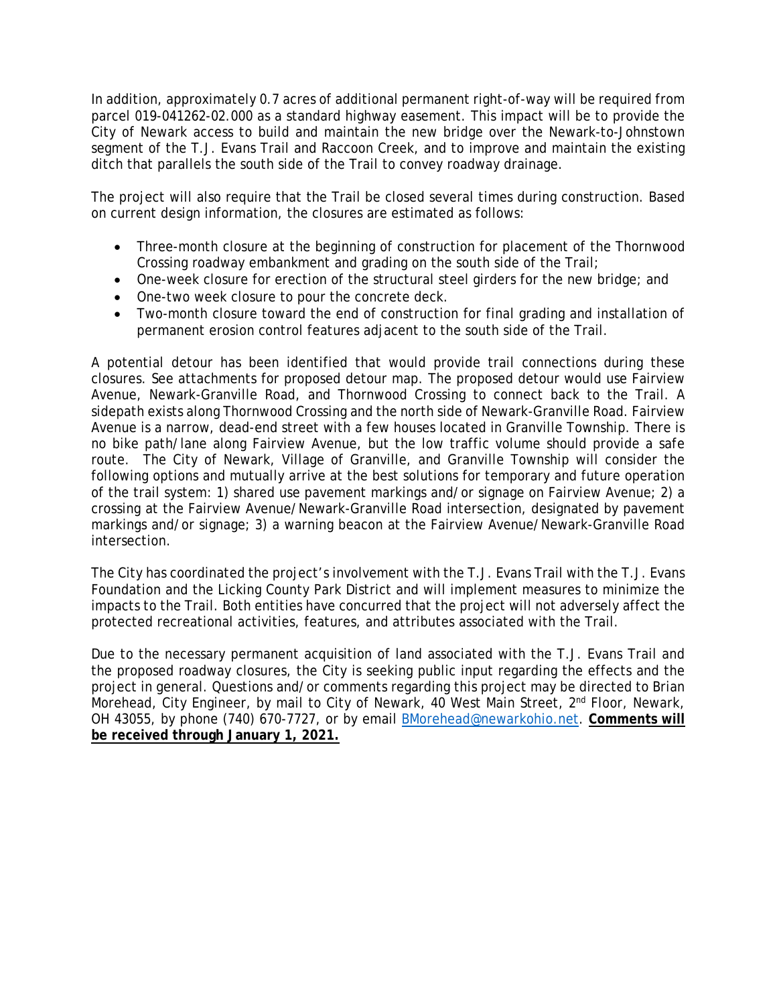In addition, approximately 0.7 acres of additional permanent right-of-way will be required from parcel 019-041262-02.000 as a standard highway easement. This impact will be to provide the City of Newark access to build and maintain the new bridge over the Newark-to-Johnstown segment of the T.J. Evans Trail and Raccoon Creek, and to improve and maintain the existing ditch that parallels the south side of the Trail to convey roadway drainage.

The project will also require that the Trail be closed several times during construction. Based on current design information, the closures are estimated as follows:

- Three-month closure at the beginning of construction for placement of the Thornwood Crossing roadway embankment and grading on the south side of the Trail;
- One-week closure for erection of the structural steel girders for the new bridge; and
- One-two week closure to pour the concrete deck.
- Two-month closure toward the end of construction for final grading and installation of permanent erosion control features adjacent to the south side of the Trail.

A potential detour has been identified that would provide trail connections during these closures. See attachments for proposed detour map. The proposed detour would use Fairview Avenue, Newark-Granville Road, and Thornwood Crossing to connect back to the Trail. A sidepath exists along Thornwood Crossing and the north side of Newark-Granville Road. Fairview Avenue is a narrow, dead-end street with a few houses located in Granville Township. There is no bike path/lane along Fairview Avenue, but the low traffic volume should provide a safe route. The City of Newark, Village of Granville, and Granville Township will consider the following options and mutually arrive at the best solutions for temporary and future operation of the trail system: 1) shared use pavement markings and/or signage on Fairview Avenue; 2) a crossing at the Fairview Avenue/Newark-Granville Road intersection, designated by pavement markings and/or signage; 3) a warning beacon at the Fairview Avenue/Newark-Granville Road intersection.

The City has coordinated the project's involvement with the T.J. Evans Trail with the T.J. Evans Foundation and the Licking County Park District and will implement measures to minimize the impacts to the Trail. Both entities have concurred that the project will not adversely affect the protected recreational activities, features, and attributes associated with the Trail.

Due to the necessary permanent acquisition of land associated with the T.J. Evans Trail and the proposed roadway closures, the City is seeking public input regarding the effects and the project in general. Questions and/or comments regarding this project may be directed to Brian Morehead, City Engineer, by mail to City of Newark, 40 West Main Street, 2<sup>nd</sup> Floor, Newark, OH 43055, by phone (740) 670-7727, or by email [BMorehead@newarkohio.net.](mailto:BMorehead@newarkohio.net) **Comments will be received through January 1, 2021.**